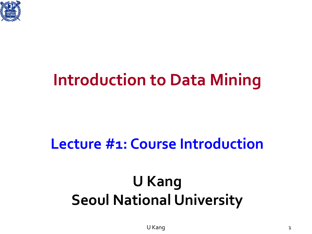

### **Introduction to Data Mining**

### **Lecture #1: Course Introduction**

### **U Kang Seoul National University**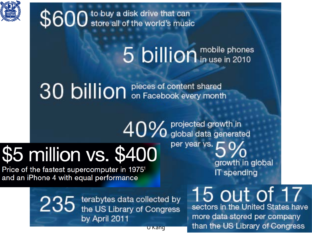

\$600 store all of the world's music

# 5 billion in use in 2010

40% projected growth in

30 billion pieces of content shared

# \$5 million vs. \$400

Price of the fastest supercomputer in 1975<sup>1</sup> and an iPhone 4 with equal performance

per year vs. growth in global IT spending

235 terabytes data collected by<br>235 the US Library of Congress by April 2011

15 out of 17 sectors in the United States have more data stored per company

than the US Library of Congress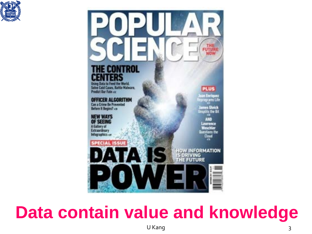



### **Data contain value and knowledge**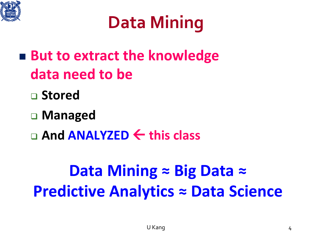

### **Data Mining**

- **But to extract the knowledge data need to be**
	- **Stored**
	- **Managed**
	- **And ANALYZED this class**

### **Data Mining ≈ Big Data ≈ Predictive Analytics ≈ Data Science**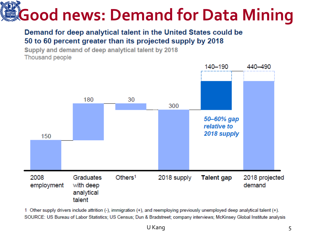# **Good news: Demand for Data Mining**

#### Demand for deep analytical talent in the United States could be 50 to 60 percent greater than its projected supply by 2018

Supply and demand of deep analytical talent by 2018 Thousand people



1 Other supply drivers include attrition (-), immigration (+), and reemploying previously unemployed deep analytical talent (+). SOURCE: US Bureau of Labor Statistics; US Census; Dun & Bradstreet; company interviews; McKinsey Global Institute analysis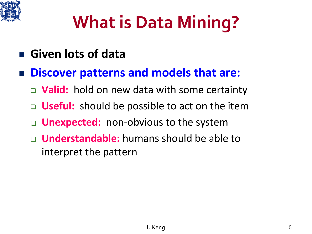

### **What is Data Mining?**

- **Given lots of data**
- **Discover patterns and models that are:**
	- **Valid:** hold on new data with some certainty
	- **Useful:** should be possible to act on the item
	- **Unexpected:** non-obvious to the system
	- **Understandable:** humans should be able to interpret the pattern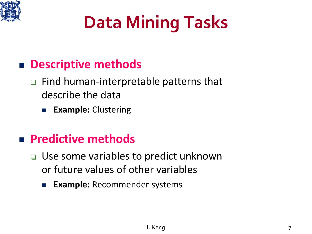

### **Data Mining Tasks**

#### **Descriptive methods**

#### Find human-interpretable patterns that describe the data

**Example:** Clustering

#### **Predictive methods**

- Use some variables to predict unknown or future values of other variables
	- **Example:** Recommender systems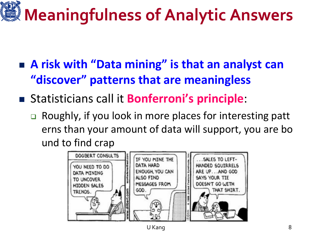# **Meaningfulness of Analytic Answers**

- **A risk with "Data mining" is that an analyst can "discover" patterns that are meaningless**
- Statisticians call it **Bonferroni's principle**:
	- □ Roughly, if you look in more places for interesting patt erns than your amount of data will support, you are bo und to find crap

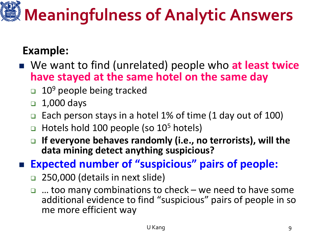# **Meaningfulness of Analytic Answers**

#### **Example:**

- We want to find (unrelated) people who at least twice **have stayed at the same hotel on the same day**
	- 10<sup>9</sup> people being tracked
	- $\Box$  1,000 days
	- Each person stays in a hotel 1% of time (1 day out of 100)
	- $\Box$  Hotels hold 100 people (so 10<sup>5</sup> hotels)
	- **If everyone behaves randomly (i.e., no terrorists), will the data mining detect anything suspicious?**
- **Expected number of "suspicious" pairs of people:**
	- □ 250,000 (details in next slide)
	- $\Box$  ... too many combinations to check we need to have some additional evidence to find "suspicious" pairs of people in so me more efficient way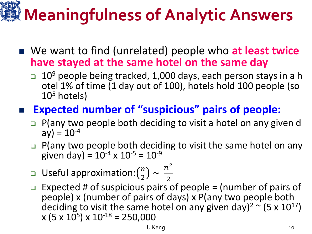# **Meaningfulness of Analytic Answers**

- We want to find (unrelated) people who at least twice **have stayed at the same hotel on the same day**
	- $\Box$  10<sup>9</sup> people being tracked, 1,000 days, each person stays in a h otel 1% of time (1 day out of 100), hotels hold 100 people (so  $10<sup>5</sup>$  hotels)

#### **Expected number of "suspicious" pairs of people:**

- $\Box$  P(any two people both deciding to visit a hotel on any given d  $ay) = 10^{-4}$
- $\Box$  P(any two people both deciding to visit the same hotel on any given day) =  $10^{-4}$  x  $10^{-5}$  =  $10^{-9}$
- **u** Useful approximation: $\binom{n}{2} \sim \frac{n^2}{2}$
- 2  $\Box$  Expected # of suspicious pairs of people = (number of pairs of people) x (number of pairs of days) x P(any two people both deciding to visit the same hotel on any given day)<sup>2</sup>  $\sim$  (5 x 10<sup>17</sup>)  $x (5 x 10^{5}) x 10^{-18} = 250,000$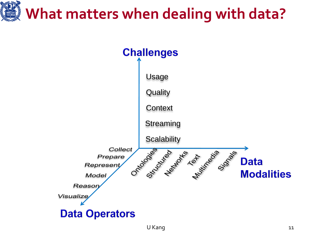# **What matters when dealing with data?**

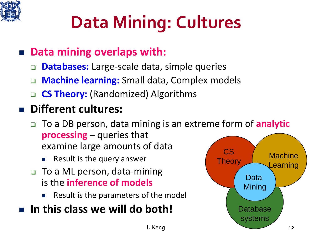

# **Data Mining: Cultures**

#### **Data mining overlaps with:**

- **Databases:** Large-scale data, simple queries
- **Machine learning:** Small data, Complex models
- □ **CS Theory:** (Randomized) Algorithms

#### **Different cultures:**

- To a DB person, data mining is an extreme form of **analytic processing** – queries that examine large amounts of data
	- Result is the query answer
- □ To a ML person, data-mining is the **inference of models**
	- Result is the parameters of the model

#### **In this class we will do both!**

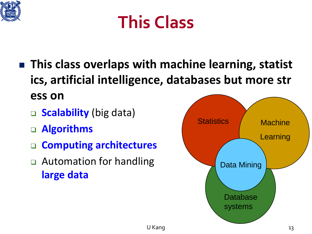

### **This Class**

- **This class overlaps with machine learning, statist ics, artificial intelligence, databases but more str ess on**
	- □ **Scalability** (big data)
	- **Algorithms**
	- **Computing architectures**
	- **□** Automation for handling **large data**

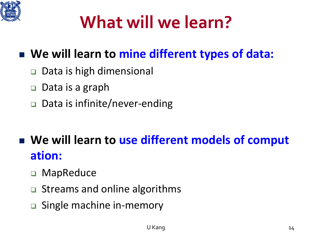

### **What will we learn?**

#### ■ We will learn to mine different types of data:

- **□** Data is high dimensional
- □ Data is a graph
- Data is infinite/never-ending

### **We will learn to use different models of comput ation:**

- □ MapReduce
- **□** Streams and online algorithms
- □ Single machine in-memory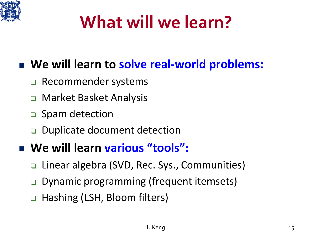

### **What will we learn?**

#### **We will learn to solve real-world problems:**

- □ Recommender systems
- □ Market Basket Analysis
- □ Spam detection
- Duplicate document detection

#### **We will learn various "tools":**

- □ Linear algebra (SVD, Rec. Sys., Communities)
- **□** Dynamic programming (frequent itemsets)
- □ Hashing (LSH, Bloom filters)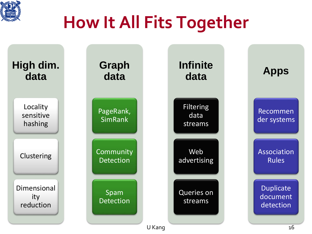

### **How It All Fits Together**

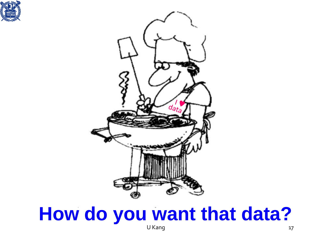



#### U Kang 17 **How do you want that data?**